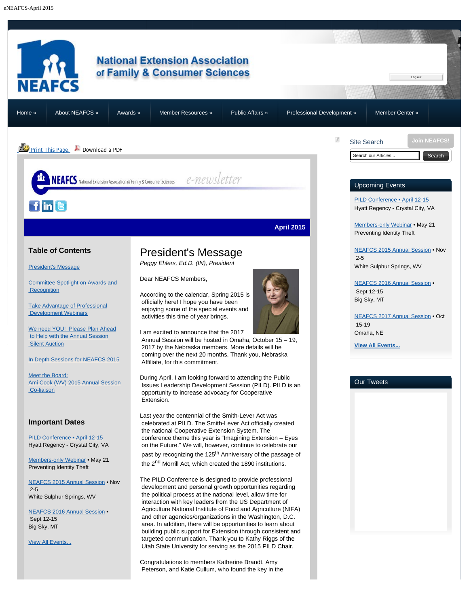<span id="page-0-0"></span>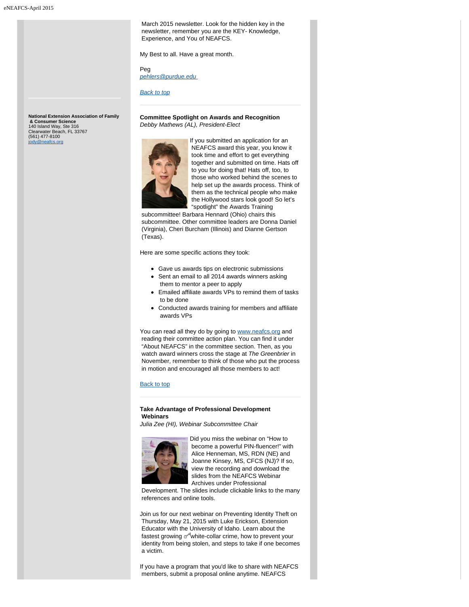March 2015 newsletter. Look for the hidden key in the newsletter, remember you are the KEY- Knowledge, Experience, and You of NEAFCS.

My Best to all. Have a great month.

Peg *[pehlers@purdue.edu](mailto:pehlers@purdue.edu)* 

*[Back to top](#page-0-0)*

**Committee Spotlight on Awards and Recognition** *Debby Mathews (AL), President-Elect*



If you submitted an application for an NEAFCS award this year, you know it took time and effort to get everything together and submitted on time. Hats off to you for doing that! Hats off, too, to those who worked behind the scenes to help set up the awards process. Think of them as the technical people who make the Hollywood stars look good! So let's "spotlight" the Awards Training

 subcommittee! Barbara Hennard (Ohio) chairs this subcommittee. Other committee leaders are Donna Daniel (Virginia), Cheri Burcham (Illinois) and Dianne Gertson (Texas).

Here are some specific actions they took:

- Gave us awards tips on electronic submissions
- Sent an email to all 2014 awards winners asking them to mentor a peer to apply
- Emailed affiliate awards VPs to remind them of tasks to be done
- Conducted awards training for members and affiliate awards VPs

You can read all they do by going to [www.neafcs.org](http://www.neafcs.org/) and reading their committee action plan. You can find it under "About NEAFCS" in the committee section. Then, as you watch award winners cross the stage at *The Greenbrier* in November, remember to think of those who put the process in motion and encouraged all those members to act!

#### [Back to top](#page-0-0)

## **Take Advantage of Professional Development Webinars**

*Julia Zee (HI), Webinar Subcommittee Chair*

<span id="page-1-1"></span>

Did you miss the webinar on "How to become a powerful PIN-fluencer!" with Alice Henneman, MS, RDN (NE) and Joanne Kinsey, MS, CFCS (NJ)? If so, view the recording and download the slides from the NEAFCS Webinar Archives under Professional

 Development. The slides include clickable links to the many references and online tools.

Join us for our next webinar on Preventing Identity Theft on Thursday, May 21, 2015 with Luke Erickson, Extension Educator with the University of Idaho. Learn about the fastest growing  $\mathcal O$  white-collar crime, how to prevent your identity from being stolen, and steps to take if one becomes a victim.

If you have a program that you'd like to share with NEAFCS members, submit a proposal online anytime. NEAFCS

<span id="page-1-0"></span>**National Extension Association of Family & Consumer Science** 140 Island Way, Ste 316 Clearwater Beach, FL 33767 (561) 477-8100 [jody@neafcs.org](mailto:jody@neafcs.org)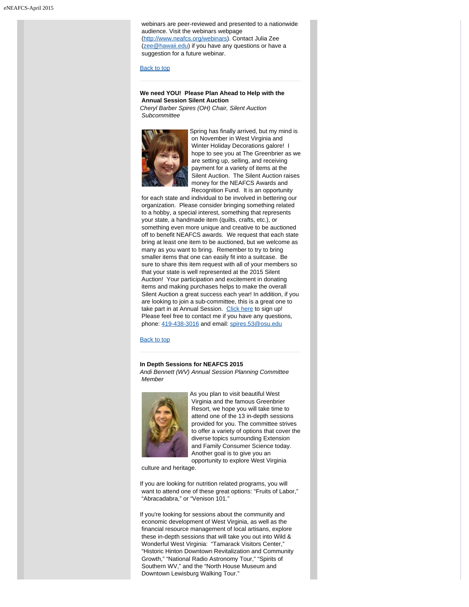webinars are peer-reviewed and presented to a nationwide audience. Visit the webinars webpage [\(http://www.neafcs.org/webinars](http://www.neafcs.org/webinars)). Contact Julia Zee [\(zee@hawaii.edu](mailto:zee@hawaii.edu)) if you have any questions or have a suggestion for a future webinar.

## [Back to top](#page-0-0)

# **We need YOU! Please Plan Ahead to Help with the Annual Session Silent Auction**

*Cheryl Barber Spires (OH) Chair, Silent Auction Subcommittee*

<span id="page-2-0"></span>

Spring has finally arrived, but my mind is on November in West Virginia and Winter Holiday Decorations galore! I hope to see you at The Greenbrier as we are setting up, selling, and receiving payment for a variety of items at the Silent Auction. The Silent Auction raises money for the NEAFCS Awards and Recognition Fund. It is an opportunity

 for each state and individual to be involved in bettering our organization. Please consider bringing something related to a hobby, a special interest, something that represents your state, a handmade item (quilts, crafts, etc.), or something even more unique and creative to be auctioned off to benefit NEAFCS awards. We request that each state bring at least one item to be auctioned, but we welcome as many as you want to bring. Remember to try to bring smaller items that one can easily fit into a suitcase. Be sure to share this item request with all of your members so that your state is well represented at the 2015 Silent Auction! Your participation and excitement in donating items and making purchases helps to make the overall Silent Auction a great success each year! In addition, if you are looking to join a sub-committee, this is a great one to take part in at Annual Session. [Click here](https://neafcs.memberclicks.net/index.php?option=com_mc&view=formlogin&form=131280&return=L2luZGV4LnBocD9vcHRpb249Y29tX21jJnZpZXc9bWMmSXRlbWlkPTI3MiZtY2lkX3Rva2VuPT9zZXJ2SWQ9NDkzMCZvcHRpb249Y29tX21jJnZpZXc9bWMmSXRlbWlkPTI3MiZtY2lkX3Rva2VuPQ==) to sign up! Please feel free to contact me if you have any questions, phone: [419-438-3016](tel:419-438-3016) and email: [spires.53@osu.edu](mailto:spires.53@osu.edu)

[Back to top](#page-0-0)

# <span id="page-2-1"></span>**In Depth Sessions for NEAFCS 2015**

*Andi Bennett (WV) Annual Session Planning Committee Member*



As you plan to visit beautiful West Virginia and the famous Greenbrier Resort, we hope you will take time to attend one of the 13 in-depth sessions provided for you. The committee strives to offer a variety of options that cover the diverse topics surrounding Extension and Family Consumer Science today. Another goal is to give you an opportunity to explore West Virginia

culture and heritage.

If you are looking for nutrition related programs, you will want to attend one of these great options: "Fruits of Labor," "Abracadabra," or "Venison 101."

If you're looking for sessions about the community and economic development of West Virginia, as well as the financial resource management of local artisans, explore these in-depth sessions that will take you out into Wild & Wonderful West Virginia: "Tamarack Visitors Center," "Historic Hinton Downtown Revitalization and Community Growth," "National Radio Astronomy Tour," "Spirits of Southern WV," and the "North House Museum and Downtown Lewisburg Walking Tour."